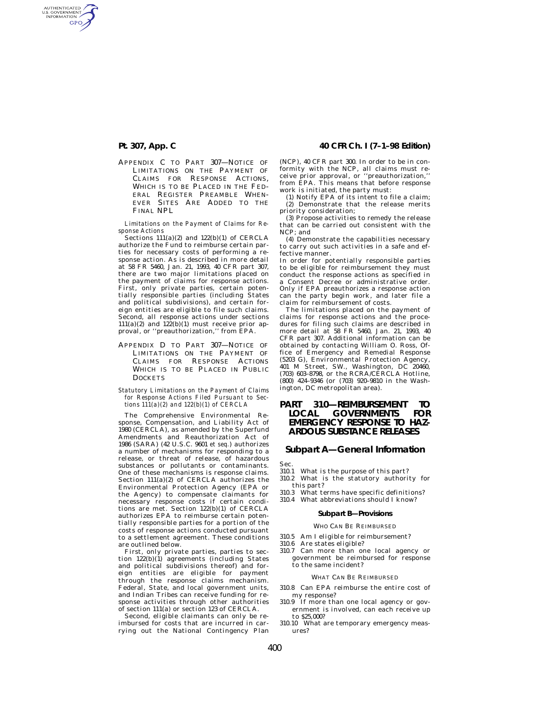AUTHENTICATED<br>U.S. GOVERNMENT<br>INFORMATION **GPO** 

> APPENDIX C TO PART 307—NOTICE OF LIMITATIONS ON THE PAYMENT OF CLAIMS FOR RESPONSE ACTIONS WHICH IS TO BE PLACED IN THE FED-ERAL REGISTER PREAMBLE WHEN-EVER SITES ARE ADDED TO THE FINAL NPL.

> *Limitations on the Payment of Claims for Response Actions*

> Sections 111(a)(2) and 122(b)(1) of CERCLA authorize the Fund to reimburse certain parties for necessary costs of performing a response action. As is described in more detail at 58 FR 5460, Jan. 21, 1993, 40 CFR part 307, there are two major limitations placed on the payment of claims for response actions. First, only private parties, certain potentially responsible parties (including States and political subdivisions), and certain foreign entities are eligible to file such claims. Second, all response actions under sections  $111(a)(2)$  and  $122(b)(1)$  must receive prior approval, or ''preauthorization,'' from EPA.

- APPENDIX D TO PART 307—NOTICE OF LIMITATIONS ON THE PAYMENT OF CLAIMS FOR RESPONSE ACTIONS WHICH IS TO BE PLACED IN PUBLIC **DOCKETS**
- *Statutory Limitations on the Payment of Claims for Response Actions Filed Pursuant to Sections 111(a)(2) and 122(b)(1) of CERCLA*

The Comprehensive Environmental Response, Compensation, and Liability Act of 1980 (CERCLA), as amended by the Superfund Amendments and Reauthorization Act of 1986 (SARA) (42 U.S.C. 9601 *et seq.*) authorizes a number of mechanisms for responding to a release, or threat of release, of hazardous substances or pollutants or contaminants. One of these mechanisms is response claims. Section 111(a)(2) of CERCLA authorizes the Environmental Protection Agency (EPA or the Agency) to compensate claimants for necessary response costs if certain conditions are met. Section 122(b)(1) of CERCLA authorizes EPA to reimburse certain potentially responsible parties for a portion of the costs of response actions conducted pursuant to a settlement agreement. These conditions are outlined below.

First, only private parties, parties to section 122(b)(1) agreements (including States and political subdivisions thereof) and foreign entities are eligible for payment through the response claims mechanism. Federal, State, and local government units, and Indian Tribes can receive funding for response activities through other authorities of section 111(a) or section 123 of CERCLA.

Second, eligible claimants can only be reimbursed for costs that are incurred in carrying out the National Contingency Plan

### **Pt. 307, App. C 40 CFR Ch. I (7–1–98 Edition)**

(NCP), 40 CFR part 300. In order to be in conformity with the NCP, all claims must receive prior approval, or ''preauthorization,'' from EPA. This means that before response work is initiated, the party must:

(1) Notify EPA of its intent to file a claim; (2) Demonstrate that the release merits priority consideration;

(3) Propose activities to remedy the release that can be carried out consistent with the NCP; and

(4) Demonstrate the capabilities necessary to carry out such activities in a safe and effective manner.

In order for potentially responsible parties to be eligible for reimbursement they must conduct the response actions as specified in a Consent Decree or administrative order. Only if EPA preauthorizes a response action can the party begin work, and later file a claim for reimbursement of costs.

The limitations placed on the payment of claims for response actions and the procedures for filing such claims are described in more detail at 58 FR 5460, Jan. 21, 1993, 40 CFR part 307. Additional information can be obtained by contacting William O. Ross, Office of Emergency and Remedial Response (5203 G), Environmental Protection Agency, 401 M Street, SW., Washington, DC 20460, (703) 603–8798, or the RCRA/CERCLA Hotline, (800) 424–9346 (or (703) 920–9810 in the Washington, DC metropolitan area).

## **PART 310—REIMBURSEMENT TO GOVERNMENTS EMERGENCY RESPONSE TO HAZ-ARDOUS SUBSTANCE RELEASES**

## **Subpart A—General Information**

Sec.<br>310.1

- What is the purpose of this part? 310.2 What is the statutory authority for this part?
- 310.3 What terms have specific definitions?
- 310.4 What abbreviations should I know?

### **Subpart B—Provisions**

#### WHO CAN BE REIMBURSED

- 310.5 Am I eligible for reimbursement?
- 310.6 Are states eligible?
- 310.7 Can more than one local agency or government be reimbursed for response to the same incident?

#### WHAT CAN BE REIMBURSED

- 310.8 Can EPA reimburse the entire cost of my response?
- 310.9 If more than one local agency or government is involved, can each receive up to \$25,000?
- 310.10 What are temporary emergency measures?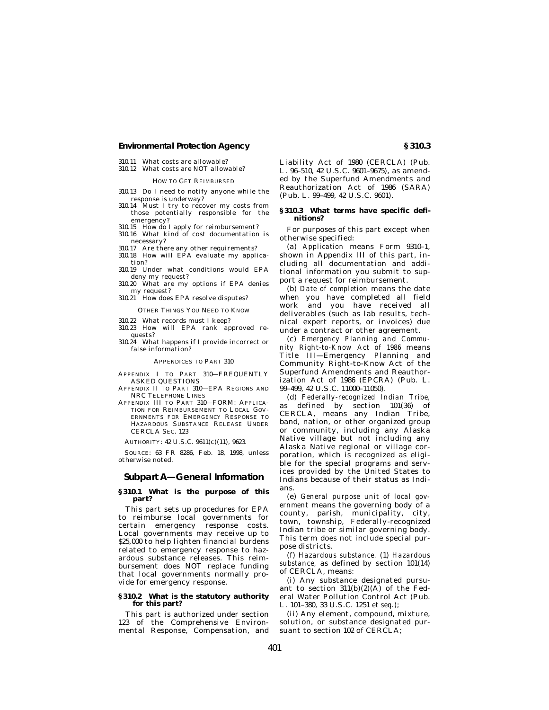### **Environmental Protection Agency § 310.3**

- 310.11 What costs are allowable?
- 310.12 What costs are NOT allowable?

#### HOW TO GET REIMBURSED

- 310.13 Do I need to notify anyone while the response is underway?
- 310.14 Must I try to recover my costs from those potentially responsible for the emergency?
- 310.15 How do I apply for reimbursement?
- $310.16$  What kind of cost documentation is necessary?
- 310.17 Are there any other requirements? 310.18 How will EPA evaluate my applica-
- tion? 310.19 Under what conditions would EPA
- deny my request?
- 310.20 What are my options if EPA denies my request? 310.21 How does EPA resolve disputes?
- 

OTHER THINGS YOU NEED TO KNOW

- 310.22 What records must I keep? 310.23 How will EPA rank approved re-
- quests? 310.24 What happens if I provide incorrect or false information?

#### APPENDICES TO PART 310

APPENDIX I TO PART 310—FREQUENTLY ASKED QUESTIONS

- APPENDIX II TO PART 310—EPA REGIONS AND NRC TELEPHONE LINES
- APPENDIX III TO PART 310—FORM: APPLICA-TION FOR REIMBURSEMENT TO LOCAL GOV-ERNMENTS FOR EMERGENCY RESPONSE TO HAZARDOUS SUBSTANCE RELEASE UNDER CERCLA SEC. 123

AUTHORITY: 42 U.S.C. 9611(c)(11), 9623.

SOURCE: 63 FR 8286, Feb. 18, 1998, unless otherwise noted.

### **Subpart A—General Information**

### **§ 310.1 What is the purpose of this part?**

This part sets up procedures for EPA to reimburse local governments for certain emergency response costs. Local governments may receive up to \$25,000 to help lighten financial burdens related to emergency response to hazardous substance releases. This reimbursement does NOT replace funding that local governments normally provide for emergency response.

#### **§ 310.2 What is the statutory authority for this part?**

This part is authorized under section 123 of the Comprehensive Environmental Response, Compensation, and Liability Act of 1980 (CERCLA) (Pub. L. 96–510, 42 U.S.C. 9601–9675), as amended by the Superfund Amendments and Reauthorization Act of 1986 (SARA) (Pub. L. 99–499, 42 U.S.C. 9601).

#### **§ 310.3 What terms have specific definitions?**

For purposes of this part except when otherwise specified:

(a) *Application* means Form 9310–1, shown in Appendix III of this part, including all documentation and additional information you submit to support a request for reimbursement.

(b) *Date of completion* means the date when you have completed all field work and you have received all deliverables (such as lab results, technical expert reports, or invoices) due under a contract or other agreement.

(c) *Emergency Planning and Community Right-to-Know Act of 1986* means Title III—Emergency Planning and Community Right-to-Know Act of the Superfund Amendments and Reauthorization Act of 1986 (EPCRA) (Pub. L. 99–499, 42 U.S.C. 11000–11050).

(d) *Federally-recognized Indian Tribe,* as defined by section 101(36) of CERCLA, means any Indian Tribe, band, nation, or other organized group or community, including any Alaska Native village but not including any Alaska Native regional or village corporation, which is recognized as eligible for the special programs and services provided by the United States to Indians because of their status as Indians.

(e) *General purpose unit of local government* means the governing body of a county, parish, municipality, city, town, township, Federally-recognized Indian tribe or similar governing body. This term does not include special purpose districts.

(f) *Hazardous substance.* (1) *Hazardous substance,* as defined by section 101(14) of CERCLA, means:

(i) Any substance designated pursuant to section  $311(b)(2)(A)$  of the Federal Water Pollution Control Act (Pub. L. 101–380, 33 U.S.C. 1251 *et seq.*);

(ii) Any element, compound, mixture, solution, or substance designated pursuant to section 102 of CERCLA;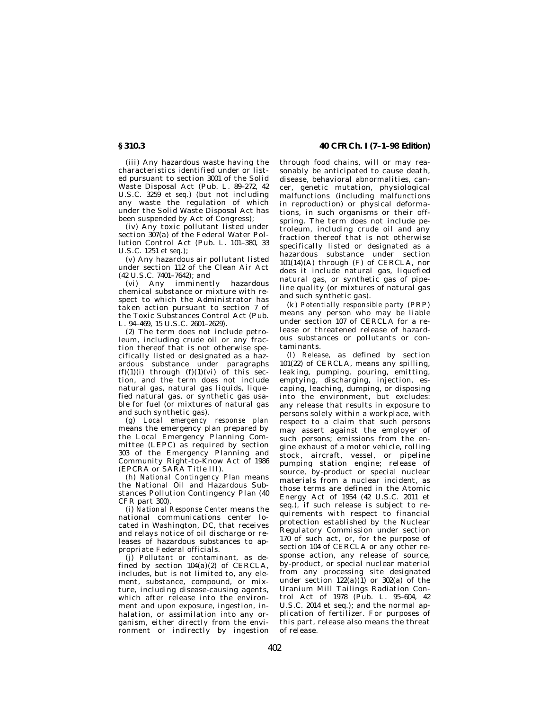(iii) Any hazardous waste having the characteristics identified under or listed pursuant to section 3001 of the Solid Waste Disposal Act (Pub. L. 89–272, 42 U.S.C. 3259 *et seq.*) (but not including any waste the regulation of which under the Solid Waste Disposal Act has been suspended by Act of Congress);

(iv) Any toxic pollutant listed under section  $307(a)$  of the Federal Water Pollution Control Act (Pub. L. 101–380, 33 U.S.C. 1251 *et seq.*);

(v) Any hazardous air pollutant listed under section 112 of the Clean Air Act (42 U.S.C. 7401–7642); and

(vi) Any imminently hazardous chemical substance or mixture with respect to which the Administrator has taken action pursuant to section 7 of the Toxic Substances Control Act (Pub. L. 94–469, 15 U.S.C. 2601–2629).

(2) The term does not include petroleum, including crude oil or any fraction thereof that is not otherwise specifically listed or designated as a hazardous substance under paragraphs  $(f)(1)(i)$  through  $(f)(1)(vi)$  of this section, and the term does not include natural gas, natural gas liquids, liquefied natural gas, or synthetic gas usable for fuel (or mixtures of natural gas and such synthetic gas).

(g) *Local emergency response plan* means the emergency plan prepared by the Local Emergency Planning Committee (LEPC) as required by section 303 of the Emergency Planning and Community Right-to-Know Act of 1986 (EPCRA or SARA Title III).

(h) *National Contingency Plan* means the National Oil and Hazardous Substances Pollution Contingency Plan (40 CFR part 300).

(i) *National Response Center* means the national communications center located in Washington, DC, that receives and relays notice of oil discharge or releases of hazardous substances to appropriate Federal officials.

(j) *Pollutant or contaminant,* as defined by section 104(a)(2) of CERCLA, includes, but is not limited to, any element, substance, compound, or mixture, including disease-causing agents, which after release into the environment and upon exposure, ingestion, inhalation, or assimilation into any organism, either directly from the environment or indirectly by ingestion

**§ 310.3 40 CFR Ch. I (7–1–98 Edition)**

through food chains, will or may reasonably be anticipated to cause death, disease, behavioral abnormalities, cancer, genetic mutation, physiological malfunctions (including malfunctions in reproduction) or physical deformations, in such organisms or their offspring. The term does not include petroleum, including crude oil and any fraction thereof that is not otherwise specifically listed or designated as a hazardous substance under section 101(14)(A) through (F) of CERCLA, nor does it include natural gas, liquefied natural gas, or synthetic gas of pipeline quality (or mixtures of natural gas and such synthetic gas).

(k) *Potentially responsible party* (PRP) means any person who may be liable under section 107 of CERCLA for a release or threatened release of hazardous substances or pollutants or contaminants.

(l) *Release,* as defined by section 101(22) of CERCLA, means any spilling, leaking, pumping, pouring, emitting, emptying, discharging, injection, escaping, leaching, dumping, or disposing into the environment, but excludes: any release that results in exposure to persons solely within a workplace, with respect to a claim that such persons may assert against the employer of such persons; emissions from the engine exhaust of a motor vehicle, rolling stock, aircraft, vessel, or pipeline pumping station engine; release of source, by-product or special nuclear materials from a nuclear incident, as those terms are defined in the Atomic Energy Act of 1954 (42 U.S.C. 2011 et seq.), if such release is subject to requirements with respect to financial protection established by the Nuclear Regulatory Commission under section 170 of such act, or, for the purpose of section 104 of CERCLA or any other response action, any release of source, by-product, or special nuclear material from any processing site designated under section  $122(a)(1)$  or  $302(a)$  of the Uranium Mill Tailings Radiation Control Act of 1978 (Pub. L. 95–604, 42 U.S.C. 2014 et seq.); and the normal application of fertilizer. For purposes of this part, release also means the threat of release.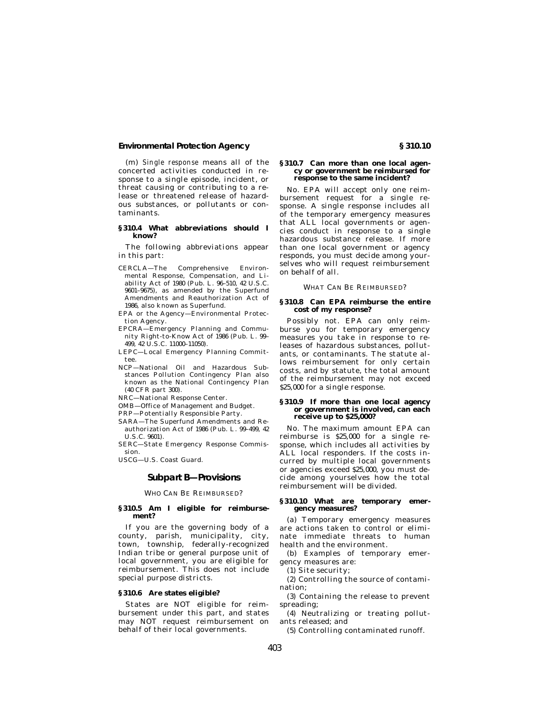### **Environmental Protection Agency § 310.10**

(m) *Single response* means all of the concerted activities conducted in response to a single episode, incident, or threat causing or contributing to a release or threatened release of hazardous substances, or pollutants or contaminants.

### **§ 310.4 What abbreviations should I know?**

The following abbreviations appear in this part:

- CERCLA—The Comprehensive Environmental Response, Compensation, and Liability Act of 1980 (Pub. L. 96–510, 42 U.S.C. 9601–9675), as amended by the Superfund Amendments and Reauthorization Act of 1986, also known as Superfund.
- EPA or the Agency—Environmental Protection Agency.
- EPCRA—Emergency Planning and Community Right-to-Know Act of 1986 (Pub. L. 99– 499, 42 U.S.C. 11000-11050).
- LEPC—Local Emergency Planning Committee.
- NCP—National Oil and Hazardous Substances Pollution Contingency Plan also known as the National Contingency Plan (40 CFR part 300).
- NRC—National Response Center.
- OMB—Office of Management and Budget.
- PRP—Potentially Responsible Party.
- SARA—The Superfund Amendments and Reauthorization Act of 1986 (Pub. L. 99–499, 42 U.S.C. 9601).

SERC—State Emergency Response Commission.

USCG—U.S. Coast Guard.

### **Subpart B—Provisions**

WHO CAN BE REIMBURSED?

#### **§ 310.5 Am I eligible for reimbursement?**

If you are the governing body of a county, parish, municipality, city, town, township, federally-recognized Indian tribe or general purpose unit of local government, you are eligible for reimbursement. This does not include special purpose districts.

#### **§ 310.6 Are states eligible?**

States are NOT eligible for reimbursement under this part, and states may NOT request reimbursement on behalf of their local governments.

#### **§ 310.7 Can more than one local agency or government be reimbursed for response to the same incident?**

No. EPA will accept only one reimbursement request for a single response. A single response includes all of the temporary emergency measures that ALL local governments or agencies conduct in response to a single hazardous substance release. If more than one local government or agency responds, you must decide among yourselves who will request reimbursement on behalf of all.

WHAT CAN BE REIMBURSED?

#### **§ 310.8 Can EPA reimburse the entire cost of my response?**

Possibly not. EPA can only reimburse you for temporary emergency measures you take in response to releases of hazardous substances, pollutants, or contaminants. The statute allows reimbursement for only certain costs, and by statute, the total amount of the reimbursement may not exceed \$25,000 for a single response.

#### **§ 310.9 If more than one local agency or government is involved, can each receive up to \$25,000?**

No. The maximum amount EPA can reimburse is \$25,000 for a single response, which includes all activities by ALL local responders. If the costs incurred by multiple local governments or agencies exceed \$25,000, you must decide among yourselves how the total reimbursement will be divided.

### **§ 310.10 What are temporary emergency measures?**

(a) Temporary emergency measures are actions taken to control or eliminate immediate threats to human health and the environment.

(b) Examples of temporary emergency measures are:

(1) Site security;

(2) Controlling the source of contamination;

(3) Containing the release to prevent spreading;

(4) Neutralizing or treating pollutants released; and

(5) Controlling contaminated runoff.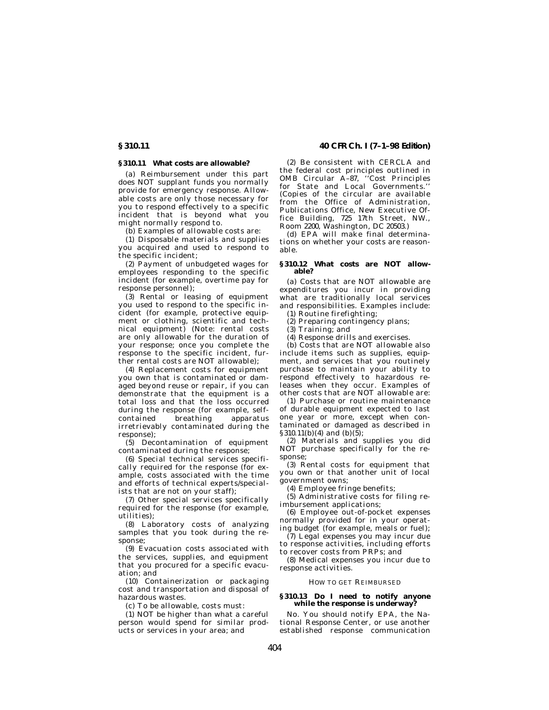**§ 310.11 40 CFR Ch. I (7–1–98 Edition)**

#### **§ 310.11 What costs are allowable?**

(a) Reimbursement under this part does NOT supplant funds you normally provide for emergency response. Allowable costs are only those necessary for you to respond effectively to a specific incident that is beyond what you might normally respond to.

(b) Examples of allowable costs are:

(1) Disposable materials and supplies you acquired and used to respond to the specific incident;

(2) Payment of unbudgeted wages for employees responding to the specific incident (for example, overtime pay for response personnel);

(3) Rental or leasing of equipment you used to respond to the specific incident (for example, protective equipment or clothing, scientific and technical equipment) (Note: rental costs are only allowable for the duration of your response; once you complete the response to the specific incident, further rental costs are NOT allowable);

(4) Replacement costs for equipment you own that is contaminated or damaged beyond reuse or repair, if you can demonstrate that the equipment is a total loss and that the loss occurred during the response (for example, selfcontained breathing apparatus irretrievably contaminated during the response);

(5) Decontamination of equipment contaminated during the response;

(6) Special technical services specifically required for the response (for example, costs associated with the time and efforts of technical experts/specialists that are not on your staff);

(7) Other special services specifically required for the response (for example, utilities);

(8) Laboratory costs of analyzing samples that you took during the response;

(9) Evacuation costs associated with the services, supplies, and equipment that you procured for a specific evacuation; and

(10) Containerization or packaging cost and transportation and disposal of hazardous wastes.

(c) To be allowable, costs must:

(1) NOT be higher than what a careful person would spend for similar products or services in your area; and

(2) Be consistent with CERCLA and the federal cost principles outlined in OMB Circular A–87, ''Cost Principles for State and Local Governments.'' (Copies of the circular are available from the Office of Administration, Publications Office, New Executive Office Building, 725 17th Street, NW., Room 2200, Washington, DC 20503.)

(d) EPA will make final determinations on whether your costs are reasonable.

# **§ 310.12 What costs are NOT allow-able?**

(a) Costs that are NOT allowable are expenditures you incur in providing what are traditionally local services and responsibilities. Examples include:

(1) Routine firefighting; (2) Preparing contingency plans;

(3) Training; and

(4) Response drills and exercises.

(b) Costs that are NOT allowable also include items such as supplies, equipment, and services that you routinely purchase to maintain your ability to respond effectively to hazardous releases when they occur. Examples of other costs that are NOT allowable are:

(1) Purchase or routine maintenance of durable equipment expected to last one year or more, except when contaminated or damaged as described in  $§310.11(b)(4)$  and  $(b)(\overline{5})$ ;

(2) Materials and supplies you did NOT purchase specifically for the response;

(3) Rental costs for equipment that you own or that another unit of local government owns;

(4) Employee fringe benefits;

(5) Administrative costs for filing reimbursement applications;

(6) Employee out-of-pocket expenses normally provided for in your operating budget (for example, meals or fuel);

(7) Legal expenses you may incur due to response activities, including efforts to recover costs from PRPs; and

(8) Medical expenses you incur due to response activities.

### HOW TO GET REIMBURSED

### **§ 310.13 Do I need to notify anyone while the response is underway?**

No. You should notify EPA, the National Response Center, or use another established response communication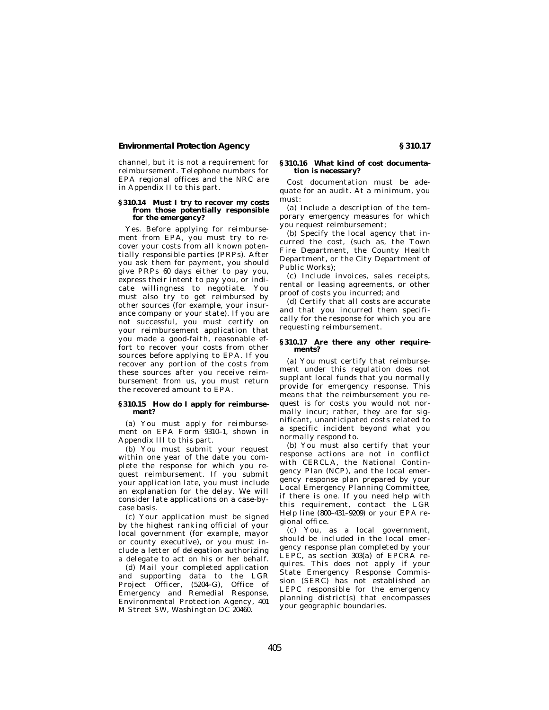### **Environmental Protection Agency § 310.17**

channel, but it is not a requirement for reimbursement. Telephone numbers for EPA regional offices and the NRC are in Appendix II to this part.

#### **§ 310.14 Must I try to recover my costs from those potentially responsible for the emergency?**

Yes. Before applying for reimbursement from EPA, you must try to recover your costs from all known potentially responsible parties (PRPs). After you ask them for payment, you should give PRPs 60 days either to pay you, express their intent to pay you, or indicate willingness to negotiate. You must also try to get reimbursed by other sources (for example, your insurance company or your state). If you are not successful, you must certify on your reimbursement application that you made a good-faith, reasonable effort to recover your costs from other sources before applying to EPA. If you recover any portion of the costs from these sources after you receive reimbursement from us, you must return the recovered amount to EPA.

#### **§ 310.15 How do I apply for reimbursement?**

(a) You must apply for reimbursement on EPA Form 9310–1, shown in Appendix III to this part.

(b) You must submit your request within one year of the date you complete the response for which you request reimbursement. If you submit your application late, you must include an explanation for the delay. We will consider late applications on a case-bycase basis.

(c) Your application must be signed by the highest ranking official of your local government (for example, mayor or county executive), or you must include a letter of delegation authorizing a delegate to act on his or her behalf.

(d) Mail your completed application and supporting data to the LGR Project Officer, (5204–G), Office of Emergency and Remedial Response, Environmental Protection Agency, 401 M Street SW, Washington DC 20460.

#### **§ 310.16 What kind of cost documentation is necessary?**

Cost documentation must be adequate for an audit. At a minimum, you must:

(a) Include a description of the temporary emergency measures for which you request reimbursement;

(b) Specify the local agency that incurred the cost, (such as, the Town Fire Department, the County Health Department, or the City Department of Public Works);

(c) Include invoices, sales receipts, rental or leasing agreements, or other proof of costs you incurred; and

(d) Certify that all costs are accurate and that you incurred them specifically for the response for which you are requesting reimbursement.

#### **§ 310.17 Are there any other requirements?**

(a) You must certify that reimbursement under this regulation does not supplant local funds that you normally provide for emergency response. This means that the reimbursement you request is for costs you would not normally incur; rather, they are for significant, unanticipated costs related to a specific incident beyond what you normally respond to.

(b) You must also certify that your response actions are not in conflict with CERCLA, the National Contingency Plan (NCP), and the local emergency response plan prepared by your Local Emergency Planning Committee, if there is one. If you need help with this requirement, contact the LGR Help line (800–431–9209) or your EPA regional office.

(c) You, as a local government, should be included in the local emergency response plan completed by your LEPC, as section 303(a) of EPCRA requires. This does not apply if your State Emergency Response Commission (SERC) has not established an LEPC responsible for the emergency planning district(s) that encompasses your geographic boundaries.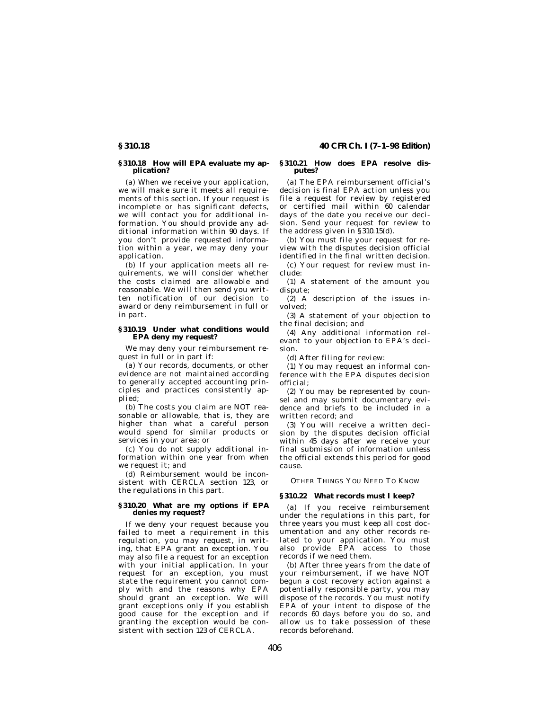### **§ 310.18 How will EPA evaluate my application?**

(a) When we receive your application, we will make sure it meets all requirements of this section. If your request is incomplete or has significant defects, we will contact you for additional information. You should provide any additional information within 90 days. If you don't provide requested information within a year, we may deny your application.

(b) If your application meets all requirements, we will consider whether the costs claimed are allowable and reasonable. We will then send you written notification of our decision to award or deny reimbursement in full or in part.

#### **§ 310.19 Under what conditions would EPA deny my request?**

We may deny your reimbursement request in full or in part if:

(a) Your records, documents, or other evidence are not maintained according to generally accepted accounting principles and practices consistently applied;

(b) The costs you claim are NOT reasonable or allowable, that is, they are higher than what a careful person would spend for similar products or services in your area; or

(c) You do not supply additional information within one year from when we request it; and

(d) Reimbursement would be inconsistent with CERCLA section 123, or the regulations in this part.

#### **§ 310.20 What are my options if EPA denies my request?**

If we deny your request because you failed to meet a requirement in this regulation, you may request, in writing, that EPA grant an exception. You may also file a request for an exception with your initial application. In your request for an exception, you must state the requirement you cannot comply with and the reasons why EPA should grant an exception. We will grant exceptions only if you establish good cause for the exception and if granting the exception would be consistent with section 123 of CERCLA.

#### **§ 310.21 How does EPA resolve disputes?**

(a) The EPA reimbursement official's decision is final EPA action unless you file a request for review by registered or certified mail within 60 calendar days of the date you receive our decision. Send your request for review to the address given in §310.15(d).

(b) You must file your request for review with the disputes decision official identified in the final written decision.

(c) Your request for review must include:

(1) A statement of the amount you dispute;

(2) A description of the issues involved;

(3) A statement of your objection to the final decision; and

(4) Any additional information relevant to your objection to EPA's decision.

(d) After filing for review:

(1) You may request an informal conference with the EPA disputes decision official;

(2) You may be represented by counsel and may submit documentary evidence and briefs to be included in a written record; and

(3) You will receive a written decision by the disputes decision official within 45 days after we receive your final submission of information unless the official extends this period for good cause.

OTHER THINGS YOU NEED TO KNOW

#### **§ 310.22 What records must I keep?**

(a) If you receive reimbursement under the regulations in this part, for three years you must keep all cost documentation and any other records related to your application. You must also provide EPA access to those records if we need them.

(b) After three years from the date of your reimbursement, if we have NOT begun a cost recovery action against a potentially responsible party, you may dispose of the records. You must notify EPA of your intent to dispose of the records 60 days before you do so, and allow us to take possession of these records beforehand.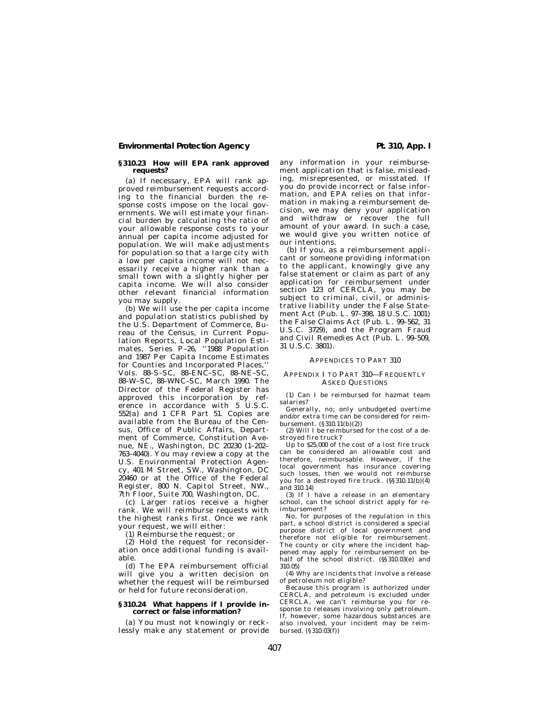### **Environmental Protection Agency Pt. 310, App. I**

#### **§ 310.23 How will EPA rank approved requests?**

(a) If necessary, EPA will rank approved reimbursement requests according to the financial burden the response costs impose on the local governments. We will estimate your financial burden by calculating the ratio of your allowable response costs to your annual per capita income adjusted for population. We will make adjustments for population so that a large city with a low per capita income will not necessarily receive a higher rank than a small town with a slightly higher per capita income. We will also consider other relevant financial information you may supply.

(b) We will use the per capita income and population statistics published by the U.S. Department of Commerce, Bureau of the Census, in Current Population Reports, Local Population Estimates, Series P–26, ''1988 Population and 1987 Per Capita Income Estimates for Counties and Incorporated Places,'' Vols. 88–S–SC, 88–ENC–SC, 88–NE–SC, 88–W–SC, 88–WNC–SC, March 1990. The Director of the Federal Register has approved this incorporation by reference in accordance with 5 U.S.C. 552(a) and 1 CFR Part 51. Copies are available from the Bureau of the Census, Office of Public Affairs, Department of Commerce, Constitution Avenue, NE., Washington, DC 20230 (1–202– 763–4040). You may review a copy at the U.S. Environmental Protection Agency, 401 M Street, SW., Washington, DC 20460 or at the Office of the Federal Register, 800 N. Capitol Street, NW., 7th Floor, Suite 700, Washington, DC.

(c) Larger ratios receive a higher rank. We will reimburse requests with the highest ranks first. Once we rank your request, we will either:

(1) Reimburse the request; or

(2) Hold the request for reconsideration once additional funding is available.

(d) The EPA reimbursement official will give you a written decision on whether the request will be reimbursed or held for future reconsideration.

#### **§ 310.24 What happens if I provide incorrect or false information?**

(a) You must not knowingly or recklessly make any statement or provide any information in your reimbursement application that is false, misleading, misrepresented, or misstated. If you do provide incorrect or false information, and EPA relies on that information in making a reimbursement decision, we may deny your application and withdraw or recover the full amount of your award. In such a case, we would give you written notice of our intentions.

(b) If you, as a reimbursement applicant or someone providing information to the applicant, knowingly give any false statement or claim as part of any application for reimbursement under section 123 of CERCLA, you may be subject to criminal, civil, or administrative liability under the False Statement Act (Pub. L. 97–398, 18 U.S.C. 1001) the False Claims Act (Pub. L. 99–562, 31 U.S.C. 3729), and the Program Fraud and Civil Remedies Act (Pub. L. 99–509, 31 U.S.C. 3801).

#### APPENDICES TO PART 310

#### APPENDIX I TO PART 310—FREQUENTLY ASKED QUESTIONS

(1) Can I be reimbursed for hazmat team salaries?

Generally, no; only unbudgeted overtime and/or extra time can be considered for reimbursement. (§310.11(b)(2))

(2) Will I be reimbursed for the cost of a destroyed fire truck?

Up to \$25,000 of the cost of a lost fire truck can be considered an allowable cost and therefore, reimbursable. However, if the local government has insurance covering such losses, then we would not reimburse you for a destroyed fire truck. (§§ 310.11(b)(4)  $2$ nd 310.14)

(3) If I have a release in an elementary school, can the school district apply for reimbursement?

No, for purposes of the regulation in this part, a school district is considered a special purpose district of local government and therefore not eligible for reimbursement. The county or city where the incident happened may apply for reimbursement on behalf of the school district. (§§ 310.03(e) and 310.05)

(4) Why are incidents that involve a release

of petroleum not eligible? Because this program is authorized under CERCLA, and petroleum is excluded under CERCLA, we can't reimburse you for response to releases involving only petroleum. If, however, some hazardous substances are also involved, your incident may be reimbursed. (§310.03(f))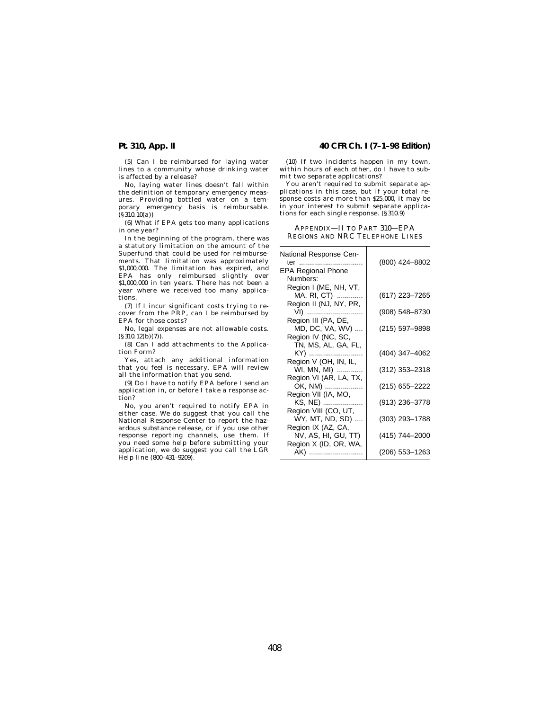(5) Can I be reimbursed for laying water lines to a community whose drinking water is affected by a release?

No, laying water lines doesn't fall within the definition of temporary emergency measures. Providing bottled water on a temporary emergency basis is reimbursable. (§310.10(a))

(6) What if EPA gets too many applications in one year?

In the beginning of the program, there was a statutory limitation on the amount of the Superfund that could be used for reimbursements. That limitation was approximately \$1,000,000. The limitation has expired, and EPA has only reimbursed slightly over \$1,000,000 in ten years. There has not been a year where we received too many applications.

(7) If I incur significant costs trying to recover from the PRP, can I be reimbursed by EPA for those costs?

No, legal expenses are not allowable costs.  $(\S 310.12(\bar{b})(7))$ .

(8) Can I add attachments to the Application Form?

Yes, attach any additional information that you feel is necessary. EPA will review all the information that you send.

(9) Do I have to notify EPA before I send an application in, or before I take a response action?

No, you aren't required to notify EPA in either case. We do suggest that you call the National Response Center to report the hazardous substance release, or if you use other response reporting channels, use them. If you need some help before submitting your application, we do suggest you call the LGR Help line (800–431–9209).

### **Pt. 310, App. II 40 CFR Ch. I (7–1–98 Edition)**

(10) If two incidents happen in my town, within hours of each other, do I have to submit two separate applications?

You aren't required to submit separate applications in this case, but if your total response costs are more than \$25,000, it may be in your interest to submit separate applications for each single response. (§ 310.9)

APPENDIX—II TO PART 310—EPA REGIONS AND NRC TELEPHONE LINES

| National Response Cen-    |                |
|---------------------------|----------------|
| ter                       | (800) 424-8802 |
| <b>EPA Regional Phone</b> |                |
| Numbers:                  |                |
| Region I (ME, NH, VT,     |                |
| MA, RI, CT)               | (617) 223-7265 |
| Region II (NJ, NY, PR,    |                |
| VI)                       | (908) 548-8730 |
| Region III (PA, DE,       |                |
| MD, DC, VA, WV)           | (215) 597-9898 |
| Region IV (NC, SC,        |                |
| TN, MS, AL, GA, FL,       |                |
| KY)                       | (404) 347-4062 |
| Region V (OH, IN, IL,     |                |
| WI, MN, MI)               | (312) 353-2318 |
| Region VI (AR, LA, TX,    |                |
| OK, NM)                   | (215) 655-2222 |
| Region VII (IA, MO,       |                |
| KS, NE)                   | (913) 236-3778 |
| Region VIII (CO, UT,      |                |
| WY, MT, ND, SD)           | (303) 293-1788 |
| Region IX (AZ, CA,        |                |
| NV, AS, HI, GU, TT)       | (415) 744-2000 |
| Region X (ID, OR, WA,     |                |
| AK)                       | (206) 553-1263 |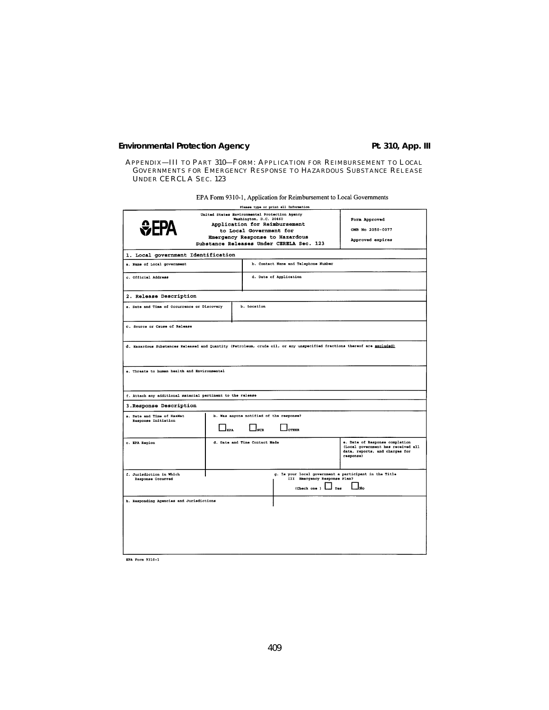# **Environmental Protection Agency Pt. 310, App. III**

APPENDIX—III TO PART 310—FORM: APPLICATION FOR REIMBURSEMENT TO LOCAL GOVERNMENTS FOR EMERGENCY RESPONSE TO HAZARDOUS SUBSTANCE RELEASE UNDER CERCLA SEC. 123

EPA Form 9310-1, Application for Reimbursement to Local Governments

|                                                                                                                         |                                               |                                                   | Please type or print all Information                                                                         |                                                                                                                     |
|-------------------------------------------------------------------------------------------------------------------------|-----------------------------------------------|---------------------------------------------------|--------------------------------------------------------------------------------------------------------------|---------------------------------------------------------------------------------------------------------------------|
|                                                                                                                         | United States Environmental Protection Agency | Washington, D.C. 20460<br>to Local Government for | Application for Reimbursement<br>Emergency Response to Hazardous<br>Substance Releases Under CERELA Sec. 123 | Form Approved<br>OMB No 2050-0077<br>Approved expires                                                               |
| 1. Local government Identification                                                                                      |                                               |                                                   |                                                                                                              |                                                                                                                     |
| a. Name of Local government                                                                                             |                                               |                                                   | b. Contact Name and Telephone Number                                                                         |                                                                                                                     |
| c. Official Address                                                                                                     |                                               |                                                   | d. Date of Application                                                                                       |                                                                                                                     |
| 2. Release Description                                                                                                  |                                               |                                                   |                                                                                                              |                                                                                                                     |
| a. Date and Time of Occurrence or Discovery                                                                             |                                               | b. Location                                       |                                                                                                              |                                                                                                                     |
| C. Source or Cause of Release                                                                                           |                                               |                                                   |                                                                                                              |                                                                                                                     |
| d. Hazardous Substances Raleased and Quantity (Petroleum, crude oil, or any unspecified fractions thereof are excluded) |                                               |                                                   |                                                                                                              |                                                                                                                     |
| e. Threats to human health and Environmental                                                                            |                                               |                                                   |                                                                                                              |                                                                                                                     |
| f. Attach any additional material pertinent to the release                                                              |                                               |                                                   |                                                                                                              |                                                                                                                     |
| 3. Response Description                                                                                                 |                                               |                                                   |                                                                                                              |                                                                                                                     |
| a. Date and Time of HazMat<br>Response Initiation                                                                       |                                               | b. Was anyone notified of the response?           |                                                                                                              |                                                                                                                     |
|                                                                                                                         | EPA                                           | lver                                              | OTHER                                                                                                        |                                                                                                                     |
| c. EPA Region                                                                                                           |                                               | d. Date and Time Contact Made                     |                                                                                                              | e. Date of Response completion<br>(Local government has received all<br>data, reports, and charges for<br>response) |
| f. Jurisdiction in Which<br>Response Occurred                                                                           |                                               |                                                   | III Emergency Response Plan?                                                                                 | g. Is your local government a participant in the Title                                                              |
|                                                                                                                         |                                               |                                                   | (Check one )                                                                                                 | lмo<br>Yes                                                                                                          |
| h. Responding Agencies and Jurisdictions                                                                                |                                               |                                                   |                                                                                                              |                                                                                                                     |
|                                                                                                                         |                                               |                                                   |                                                                                                              |                                                                                                                     |
|                                                                                                                         |                                               |                                                   |                                                                                                              |                                                                                                                     |
|                                                                                                                         |                                               |                                                   |                                                                                                              |                                                                                                                     |
|                                                                                                                         |                                               |                                                   |                                                                                                              |                                                                                                                     |

**EPA Form 9310-1**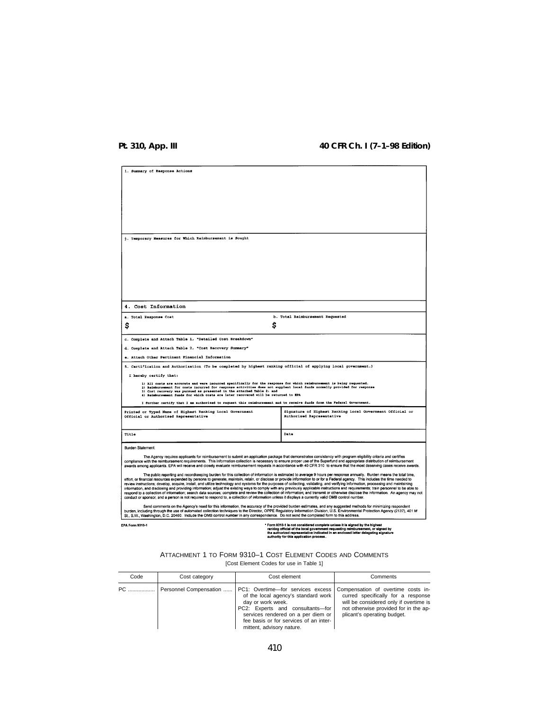# **Pt. 310, App. III 40 CFR Ch. I (7–1–98 Edition)**

| i. Summary of Response Actions                                                                                                                                                                                                                                                                                                                                                                                                                                                                                                                                                                                                                                                                                             |                                                                                                                                                                                                                                                                                                                                                               |  |  |
|----------------------------------------------------------------------------------------------------------------------------------------------------------------------------------------------------------------------------------------------------------------------------------------------------------------------------------------------------------------------------------------------------------------------------------------------------------------------------------------------------------------------------------------------------------------------------------------------------------------------------------------------------------------------------------------------------------------------------|---------------------------------------------------------------------------------------------------------------------------------------------------------------------------------------------------------------------------------------------------------------------------------------------------------------------------------------------------------------|--|--|
|                                                                                                                                                                                                                                                                                                                                                                                                                                                                                                                                                                                                                                                                                                                            |                                                                                                                                                                                                                                                                                                                                                               |  |  |
|                                                                                                                                                                                                                                                                                                                                                                                                                                                                                                                                                                                                                                                                                                                            |                                                                                                                                                                                                                                                                                                                                                               |  |  |
|                                                                                                                                                                                                                                                                                                                                                                                                                                                                                                                                                                                                                                                                                                                            |                                                                                                                                                                                                                                                                                                                                                               |  |  |
|                                                                                                                                                                                                                                                                                                                                                                                                                                                                                                                                                                                                                                                                                                                            |                                                                                                                                                                                                                                                                                                                                                               |  |  |
|                                                                                                                                                                                                                                                                                                                                                                                                                                                                                                                                                                                                                                                                                                                            |                                                                                                                                                                                                                                                                                                                                                               |  |  |
|                                                                                                                                                                                                                                                                                                                                                                                                                                                                                                                                                                                                                                                                                                                            |                                                                                                                                                                                                                                                                                                                                                               |  |  |
| i. Temporary Measures for Which Reimbursement is Sought                                                                                                                                                                                                                                                                                                                                                                                                                                                                                                                                                                                                                                                                    |                                                                                                                                                                                                                                                                                                                                                               |  |  |
|                                                                                                                                                                                                                                                                                                                                                                                                                                                                                                                                                                                                                                                                                                                            |                                                                                                                                                                                                                                                                                                                                                               |  |  |
|                                                                                                                                                                                                                                                                                                                                                                                                                                                                                                                                                                                                                                                                                                                            |                                                                                                                                                                                                                                                                                                                                                               |  |  |
|                                                                                                                                                                                                                                                                                                                                                                                                                                                                                                                                                                                                                                                                                                                            |                                                                                                                                                                                                                                                                                                                                                               |  |  |
|                                                                                                                                                                                                                                                                                                                                                                                                                                                                                                                                                                                                                                                                                                                            |                                                                                                                                                                                                                                                                                                                                                               |  |  |
|                                                                                                                                                                                                                                                                                                                                                                                                                                                                                                                                                                                                                                                                                                                            |                                                                                                                                                                                                                                                                                                                                                               |  |  |
|                                                                                                                                                                                                                                                                                                                                                                                                                                                                                                                                                                                                                                                                                                                            |                                                                                                                                                                                                                                                                                                                                                               |  |  |
| 4. Cost Information                                                                                                                                                                                                                                                                                                                                                                                                                                                                                                                                                                                                                                                                                                        |                                                                                                                                                                                                                                                                                                                                                               |  |  |
| a. Total Response Cost                                                                                                                                                                                                                                                                                                                                                                                                                                                                                                                                                                                                                                                                                                     | b. Total Reimbursement Requested                                                                                                                                                                                                                                                                                                                              |  |  |
| \$                                                                                                                                                                                                                                                                                                                                                                                                                                                                                                                                                                                                                                                                                                                         | \$                                                                                                                                                                                                                                                                                                                                                            |  |  |
| c. Complete and Attach Table 1, "Detailed Cost Breakdown"                                                                                                                                                                                                                                                                                                                                                                                                                                                                                                                                                                                                                                                                  |                                                                                                                                                                                                                                                                                                                                                               |  |  |
| d. Complete and Attach Table 2, "Cost Recovery Summary"                                                                                                                                                                                                                                                                                                                                                                                                                                                                                                                                                                                                                                                                    |                                                                                                                                                                                                                                                                                                                                                               |  |  |
| e. Attach Other Pertinent Financial Information                                                                                                                                                                                                                                                                                                                                                                                                                                                                                                                                                                                                                                                                            |                                                                                                                                                                                                                                                                                                                                                               |  |  |
| 5. Certification and Authorization (To be completed by highest ranking official of applying local government.)                                                                                                                                                                                                                                                                                                                                                                                                                                                                                                                                                                                                             |                                                                                                                                                                                                                                                                                                                                                               |  |  |
| I hereby certify that:                                                                                                                                                                                                                                                                                                                                                                                                                                                                                                                                                                                                                                                                                                     |                                                                                                                                                                                                                                                                                                                                                               |  |  |
| 1) All costs are accurate and were incurred specifically for the response for which reimbursement is being requested.<br>2) Reimbursement for costs incurred for response activities does not supplant local funds normally provided for response                                                                                                                                                                                                                                                                                                                                                                                                                                                                          |                                                                                                                                                                                                                                                                                                                                                               |  |  |
| 3) Cost recovery was pursued as presented in the attached Table 2: and<br>4) Reimbursement funds for which costs are later recovered will be returned to EPA                                                                                                                                                                                                                                                                                                                                                                                                                                                                                                                                                               |                                                                                                                                                                                                                                                                                                                                                               |  |  |
| I further certify that I am authorized to request this reimbursement and to receive funds from the Federal Government.                                                                                                                                                                                                                                                                                                                                                                                                                                                                                                                                                                                                     |                                                                                                                                                                                                                                                                                                                                                               |  |  |
| Printed or Typed Name of Highest Ranking Local Government<br>Official or Authorized Representative                                                                                                                                                                                                                                                                                                                                                                                                                                                                                                                                                                                                                         | Signature of Highest Ranking Local Government Official or<br>Authorized Representative                                                                                                                                                                                                                                                                        |  |  |
|                                                                                                                                                                                                                                                                                                                                                                                                                                                                                                                                                                                                                                                                                                                            |                                                                                                                                                                                                                                                                                                                                                               |  |  |
| Title                                                                                                                                                                                                                                                                                                                                                                                                                                                                                                                                                                                                                                                                                                                      | Date                                                                                                                                                                                                                                                                                                                                                          |  |  |
| Burden Statement:                                                                                                                                                                                                                                                                                                                                                                                                                                                                                                                                                                                                                                                                                                          |                                                                                                                                                                                                                                                                                                                                                               |  |  |
| compliance with the reimbursement requirements. This information collection is necessary to ensure proper use of the Superfund and appropriate distribution of reimbursement                                                                                                                                                                                                                                                                                                                                                                                                                                                                                                                                               | The Agency requires applicants for reimbursement to submit an application package that demonstrates consistency with program eligibility criteria and certifies<br>awards among applicants. EPA will receive and closely evaluate reimbursement requests in accordance with 40 CFR 310 to ensure that the most deserving cases receive awards.                |  |  |
| effort, or financial resources expended by persons to generate, maintain, retain, or disclose or provide information to or for a Federal agency. This includes the time needed to<br>review instructions; develop, acquire, install, and utilize technology and systems for the purposes of collecting, validating, and verifying information, processing and maintaining<br>information, and disclosing and providing information; adjust the existing ways to comply with any previously applicable instructions and requirements; train personnel to be able to<br>conduct or sponsor, and a person is not required to respond to, a collection of information unless it displays a currently valid OMB control number. | The public reporting and recordkeeping burden for this collection of information is estimated to average 9 hours per response annually. Burden means the total time,<br>respond to a collection of information; search data sources; complete and review the collection of information; and transmit or otherwise disclose the information. An agency may not |  |  |
| burden, including through the use of automated collection techniques to the Director, OPPE Regulatory Information Division, U.S. Environmental Protection Agency (2137), 401 M<br>St., S.W., Washington, D.C. 20460. Include the OMB control number in any correspondence. Do not send the completed form to this address.                                                                                                                                                                                                                                                                                                                                                                                                 | Send comments on the Agency's need for this information, the accuracy of the provided burden estimates, and any suggested methods for minimizing respondent                                                                                                                                                                                                   |  |  |
| <b>EPA Form 9310-1</b>                                                                                                                                                                                                                                                                                                                                                                                                                                                                                                                                                                                                                                                                                                     | Form 9310-1 is not considered complete unless it is signed by the highest<br>ranking official of the local government requesting reimbursement, or slgned by<br>the authorized representative indicated in an enclosed letter delegating signature<br>authority for this application process.                                                                 |  |  |

## ATTACHMENT 1 TO FORM 9310–1 COST ELEMENT CODES AND COMMENTS [Cost Element Codes for use in Table 1]

| Code | Cost category                | Cost element                                                                                                                                                                                                                                   | Comments                                                                                                                                                                                   |
|------|------------------------------|------------------------------------------------------------------------------------------------------------------------------------------------------------------------------------------------------------------------------------------------|--------------------------------------------------------------------------------------------------------------------------------------------------------------------------------------------|
|      | PC    Personnel Compensation | PC1: Overtime-for services excess<br>of the local agency's standard work<br>day or work week.<br>PC2: Experts and consultants-for<br>services rendered on a per diem or<br>fee basis or for services of an inter-<br>mittent, advisory nature. | Compensation of overtime costs in-<br>curred specifically for a response<br>will be considered only if overtime is<br>not otherwise provided for in the ap-<br>plicant's operating budget. |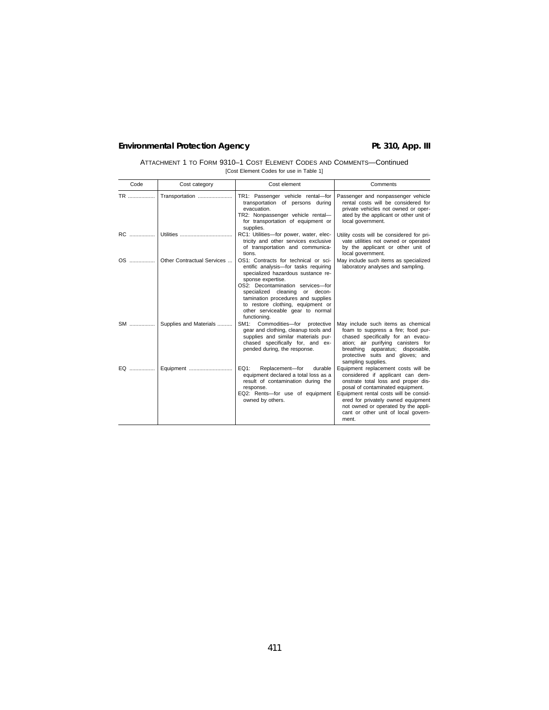# **Environmental Protection Agency Pt. 310, App. III**

| ATTACHMENT 1 TO FORM 9310-1 COST ELEMENT CODES AND COMMENTS-Continued |
|-----------------------------------------------------------------------|
| [Cost Element Codes for use in Table 1]                               |

| Code | Cost category              | Cost element                                                                                                                                                                                                                                                                                                                                  | Comments                                                                                                                                                                                                                                                                                                                  |
|------|----------------------------|-----------------------------------------------------------------------------------------------------------------------------------------------------------------------------------------------------------------------------------------------------------------------------------------------------------------------------------------------|---------------------------------------------------------------------------------------------------------------------------------------------------------------------------------------------------------------------------------------------------------------------------------------------------------------------------|
| TR   | Transportation             | TR1: Passenger vehicle rental-for<br>transportation of persons during<br>evacuation.<br>TR2: Nonpassenger vehicle rental-<br>for transportation of equipment or<br>supplies.                                                                                                                                                                  | Passenger and nonpassenger vehicle<br>rental costs will be considered for<br>private vehicles not owned or oper-<br>ated by the applicant or other unit of<br>local government.                                                                                                                                           |
|      |                            | RC1: Utilities-for power, water, elec-<br>tricity and other services exclusive<br>of transportation and communica-<br>tions.                                                                                                                                                                                                                  | Utility costs will be considered for pri-<br>vate utilities not owned or operated<br>by the applicant or other unit of<br>local government.                                                                                                                                                                               |
|      | Other Contractual Services | OS1: Contracts for technical or sci-<br>entific analysis-for tasks requiring<br>specialized hazardous sustance re-<br>sponse expertise.<br>OS2: Decontamination services-for<br>specialized cleaning or decon-<br>tamination procedures and supplies<br>to restore clothing, equipment or<br>other serviceable gear to normal<br>functioning. | May include such items as specialized<br>laboratory analyses and sampling.                                                                                                                                                                                                                                                |
| SM   | Supplies and Materials     | SM1: Commodities-for protective<br>gear and clothing, cleanup tools and<br>supplies and similar materials pur-<br>chased specifically for, and ex-<br>pended during, the response.                                                                                                                                                            | May include such items as chemical<br>foam to suppress a fire; food pur-<br>chased specifically for an evacu-<br>ation; air purifying canisters for<br>breathing apparatus; disposable,<br>protective suits and gloves; and<br>sampling supplies.                                                                         |
| EQ   | Equipment                  | EQ1:<br>Replacement-for<br>durable<br>equipment declared a total loss as a<br>result of contamination during the<br>response.<br>EQ2: Rents-for use of equipment<br>owned by others.                                                                                                                                                          | Equipment replacement costs will be<br>considered if applicant can dem-<br>onstrate total loss and proper dis-<br>posal of contaminated equipment.<br>Equipment rental costs will be consid-<br>ered for privately owned equipment<br>not owned or operated by the appli-<br>cant or other unit of local govern-<br>ment. |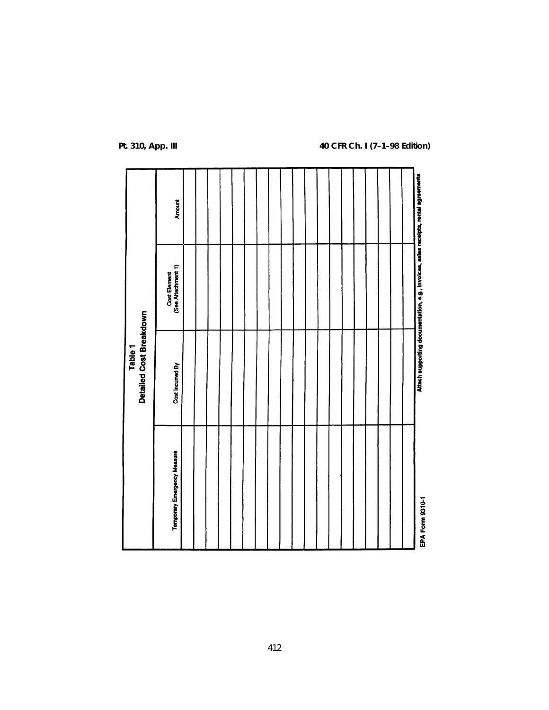|                             | <b>Detailed Cost Breakdown</b><br>Table <sub>1</sub> |                                                                                    |        |
|-----------------------------|------------------------------------------------------|------------------------------------------------------------------------------------|--------|
| Temporary Emergency Measure | Cost Incurred By                                     | Cost Element<br>(See Attachment 1)                                                 | Amount |
|                             |                                                      |                                                                                    |        |
|                             |                                                      |                                                                                    |        |
|                             |                                                      |                                                                                    |        |
|                             |                                                      |                                                                                    |        |
|                             |                                                      |                                                                                    |        |
|                             |                                                      |                                                                                    |        |
|                             |                                                      |                                                                                    |        |
|                             |                                                      |                                                                                    |        |
|                             |                                                      |                                                                                    |        |
|                             |                                                      |                                                                                    |        |
|                             |                                                      |                                                                                    |        |
|                             |                                                      |                                                                                    |        |
|                             |                                                      |                                                                                    |        |
|                             |                                                      |                                                                                    |        |
|                             |                                                      |                                                                                    |        |
|                             |                                                      |                                                                                    |        |
|                             |                                                      |                                                                                    |        |
|                             |                                                      |                                                                                    |        |
|                             |                                                      |                                                                                    |        |
| EPA Form 9310-1             |                                                      | Attach supporting documentation, e.g., invoices, sales receipts, rental agreements |        |

# **Pt. 310, App. III 40 CFR Ch. I (7–1–98 Edition)**